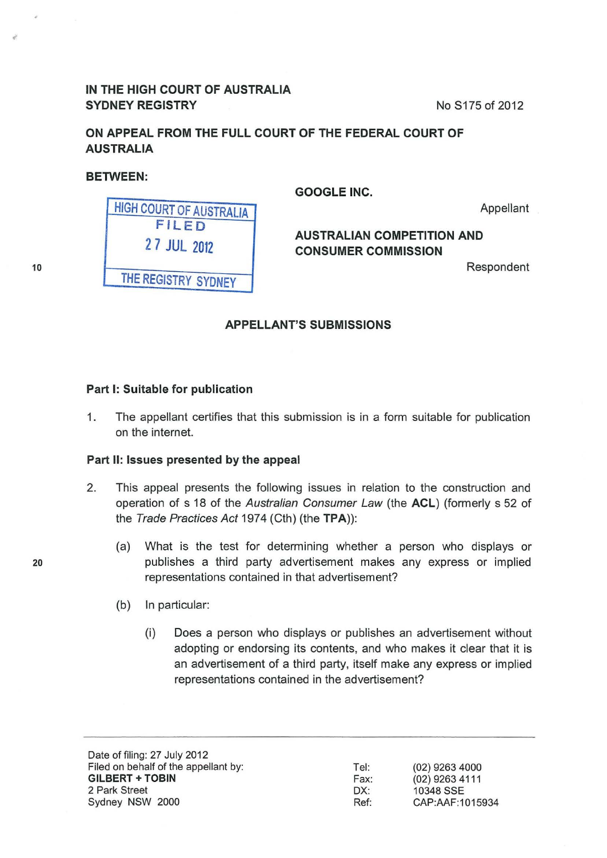## IN THE HIGH COURT OF AUSTRALIA SYDNEY REGISTRY **No. 2012** No. 8175 of 2012

ON APPEAL FROM THE FULL COURT OF THE FEDERAL COURT OF AUSTRALIA

BETWEEN:

GOOGLE INC.

Appellant

# AUSTRALIAN COMPETITION AND CONSUMER COMMISSION

Respondent

| FILED<br>27 JUL 2012<br>THE REGISTRY SYDNEY | <b>HIGH COURT OF AUSTRALIA</b> |
|---------------------------------------------|--------------------------------|
|                                             |                                |
|                                             |                                |
|                                             |                                |

## APPELLANT'S SUBMISSIONS

#### Part 1: Suitable for publication

1. The appellant certifies that this submission is in a form suitable for publication on the internet.

#### Part II: Issues presented by the appeal

- 2. This appeal presents the following issues in relation to the construction and operation of s 18 of the Australian Consumer Law (the ACL) (formerly s 52 of the Trade Practices Act 1974 (Cth) (the TPA)):
	- (a) What is the test for determining whether a person who displays or publishes a third party advertisement makes any express or implied representations contained in that advertisement?
	- (b) In particular:
		- (i) Does a person who displays or publishes an advertisement without adopting or endorsing its contents, and who makes it clear that it is an advertisement of a third party, itself make any express or implied representations contained in the advertisement?

Date of filing: 27 July 2012 Filed on behalf of the appellant by: GILBERT +TOBIN 2 Park Street Sydney NSW 2000

Tel: Fax: DX: Ref:

(02) 9263 4000 (02) 9263 4111 10348 SSE CAP:AAF:1015934

10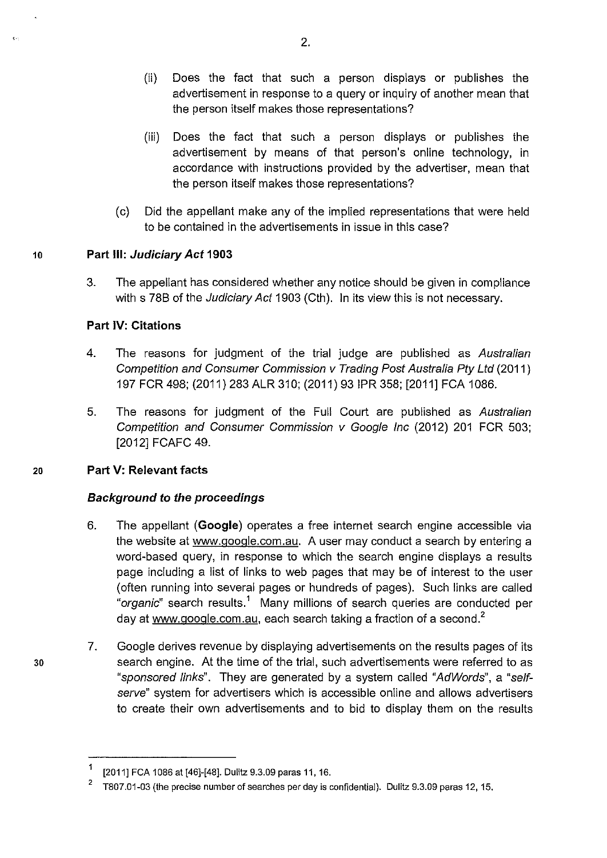- (ii) Does the fact that such a person displays or publishes the advertisement in response to a query or inquiry of another mean that the person itself makes those representations?
- (iii) Does the fact that such a person displays or publishes the advertisement by means of that person's online technology, in accordance with instructions provided by the advertiser, mean that the person itself makes those representations?
- (c) Did the appellant make any of the implied representations that were held to be contained in the advertisements in issue in this case?

## 10 **Part Ill: Judiciary Act 1903**

3. The appellant has considered whether any notice should be given in compliance with s 78B of the *Judiciary Act* 1903 (Cth). In its view this is not necessary.

## **Part IV: Citations**

- 4. The reasons for judgment of the trial judge are published as Australian Competition and Consumer Commission v Trading Post Australia Pty Ltd (2011) 197 FCR 498; (2011) 283 ALR 310; (2011) 93 IPR 358; [2011] FCA 1086.
- 5. The reasons for judgment of the Full Court are published as Australian Competition and Consumer Commission v Google Inc (2012) 201 FCR 503; [2012] FCAFC 49.

### 20 **Part V: Relevant facts**

30

 $\epsilon$ 

## **Background to the proceedings**

- 6. The appellant **(Google)** operates a free internet search engine accessible via the website at www.google.com.au. A user may conduct a search by entering a word-based query, in response to which the search engine displays a results page including a list of links to web pages that may be of interest to the user (often running into several pages or hundreds of pages). Such links are called "organic" search results.<sup>1</sup> Many millions of search queries are conducted per day at www.google.com.au, each search taking a fraction of a second. $2^2$
- 7. Google derives revenue by displaying advertisements on the results pages of its search engine. At the time of the trial, such advertisements were referred to as "sponsored links". They are generated by a system called "AdWords", a "selfserve" system for advertisers which is accessible online and allows advertisers to create their own advertisements and to bid to display them on the results

<sup>1</sup> [2011] FCA 1086 at [46]-[48]. Dulitz 9.3.09 paras 11, 16.

<sup>&</sup>lt;sup>2</sup> T807.01-03 (the precise number of searches per day is confidential). Dulitz 9.3.09 paras 12, 15.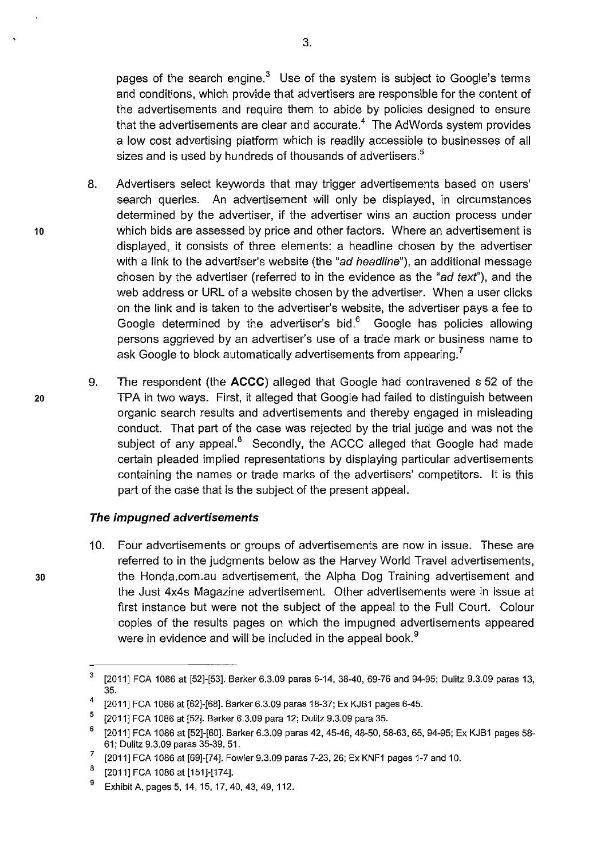pages of the search engine. $3$  Use of the system is subject to Google's terms and conditions, which provide that advertisers are responsible for the content of the advertisements and require them to abide by policies designed to ensure that the advertisements are clear and accurate. $4$  The AdWords system provides a low cost advertising platform which is readily accessible to businesses of all sizes and is used by hundreds of thousands of advertisers.<sup>5</sup>

- 8. Advertisers select keywords that may trigger advertisements based on users' search queries. An advertisement will only be displayed, in circumstances determined by the advertiser, if the advertiser wins an auction process under 10 which bids are assessed by price and other factors. Where an advertisement is displayed, it consists of three elements: a headline chosen by the advertiser with a link to the advertiser's website (the "ad headline"), an additional message chosen by the advertiser (referred to in the evidence as the "ad text"), and the web address or URL of a website chosen by the advertiser. When a user clicks on the link and is taken to the advertiser's website, the advertiser pays a fee to Google determined by the advertiser's bid. $6\degree$  Google has policies allowing persons aggrieved by an advertiser's use of a trade mark or business name to ask Google to block automatically advertisements from appearing.<sup>7</sup>
- 9. The respondent (the **ACCC)** alleged that Google had contravened s 52 of the 20 TPA in two ways. First, it alleged that Google had failed to distinguish between organic search results and advertisements and thereby engaged in misleading conduct. That part of the case was rejected by the trial judge and was not the subject of any appeal.<sup>8</sup> Secondly, the ACCC alleged that Google had made certain pleaded implied representations by displaying particular advertisements containing the names or trade marks of the advertisers' competitors. It is this part of the case that is the subject of the present appeal.

### **The impugned advertisements**

10. Four advertisements or groups of advertisements are now in issue. These are referred to in the judgments below as the Harvey World Travel advertisements, 30 the Honda.com.au advertisement, the Alpha Dog Training advertisement and the Just 4x4s Magazine advertisement. Other advertisements were in issue at first instance but were not the subject of the appeal to the Full Court. Colour copies of the results pages on which the impugned advertisements appeared were in evidence and will be included in the appeal book.<sup>9</sup>

 $3$  [2011] FCA 1086 at [52]-[53]. Barker 6.3.09 paras 6-14, 38-40, 69-76 and 94-95; Dulitz 9.3.09 paras 13, 35.

<sup>&</sup>lt;sup>4</sup> [2011] FCA 1086 at [62]-[68]. Barker 6.3.09 paras 18-37; Ex KJB1 pages 6-45.

<sup>5 [2011]</sup> FCA 1086 at [52]. Banker 6.3.09 para 12; Dulitz 9.3.09 para 35.

<sup>&</sup>lt;sup>6</sup> [2011] FCA 1086 at [52]-[60]. Barker 6.3.09 paras 42, 45-46, 48-50, 58-63, 65, 94-95; Ex KJB1 pages 58-61; Dulitz 9.3.09 paras 35-39, 51.

 $7$  [2011] FCA 1086 at [69]-[74]. Fowler 9.3.09 paras 7-23, 26; Ex KNF1 pages 1-7 and 10.

 $8$  [2011] FCA 1086 at [151]-[174].

<sup>&</sup>lt;sup>9</sup> Exhibit A, pages 5, 14, 15, 17, 40, 43, 49, 112.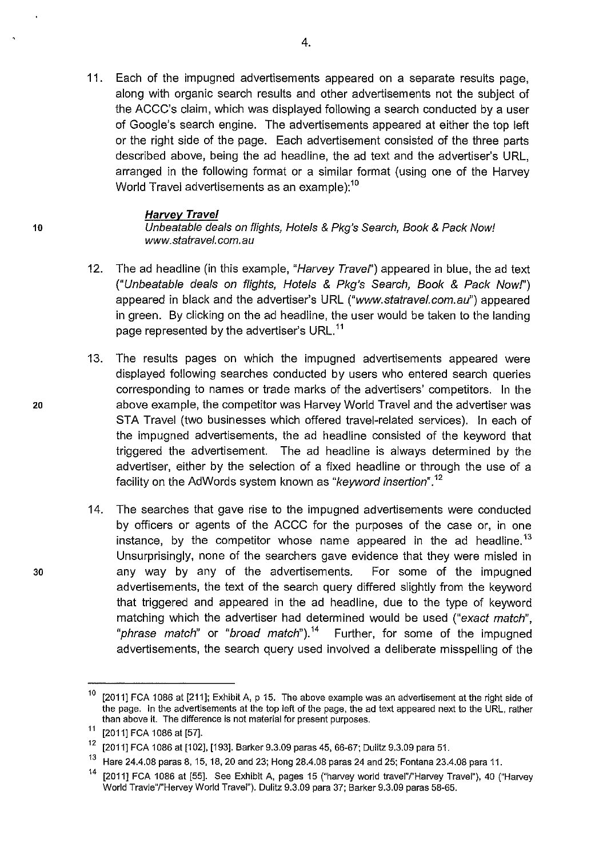11. Each of the impugned advertisements appeared on a separate results page, along with organic search results and other advertisements not the subject of the ACCC's claim, which was displayed following a search conducted by a user of Google's search engine. The advertisements appeared at either the top left or the right side of the page. Each advertisement consisted of the three parts described above, being the ad headline, the ad text and the advertiser's URL, arranged in the following format or a similar format (using one of the Harvey World Travel advertisements as an example):<sup>10</sup>

#### **Harvey Travel**

10 Unbeatable deals on flights, Hotels & Pkg's Search, Book & Pack Now! www.statravel. com. au

- 12. The ad headline (in this example, "Harvey Travel") appeared in blue, the ad text ("Unbeatable deals on flights, Hotels & Pkg's Search, Book & Pack Nowf') appeared in black and the advertiser's URL ("www.statravel.com.au") appeared in green. By clicking on the ad headline, the user would be taken to the landing page represented by the advertiser's URL.<sup>11</sup>
- 13. The results pages on which the impugned advertisements appeared were displayed following searches conducted by users who entered search queries corresponding to names or trade marks of the advertisers' competitors. In the 20 above example, the competitor was Harvey World Travel and the advertiser was STA Travel (two businesses which offered travel-related services). In each of the impugned advertisements, the ad headline consisted of the keyword that triggered the advertisement. The ad headline is always determined by the advertiser, either by the selection of a fixed headline or through the use of a facility on the AdWords system known as "keyword insertion".<sup>12</sup>
- 14. The searches that gave rise to the impugned advertisements were conducted by officers or agents of the ACCC for the purposes of the case or, in one instance, by the competitor whose name appeared in the ad headline.<sup>13</sup> Unsurprisingly, none of the searchers gave evidence that they were misled in 30 any way by any of the advertisements. For some of the impugned advertisements, the text of the search query differed slightly from the keyword that triggered and appeared in the ad headline, due to the type of keyword matching which the advertiser had determined would be used ("exact match", "phrase match" or "broad match").<sup>14</sup> Further, for some of the impugned advertisements, the search query used involved a deliberate misspelling of the

 $10$  [2011] FCA 1086 at [211]; Exhibit A, p 15. The above example was an advertisement at the right side of the page. In the advertisements at the top left of the page, the ad text appeared next to the URL, rather than above it. The difference is not material for present purposes.

 $11$  [2011] FCA 1086 at [57].

<sup>&</sup>lt;sup>12</sup> [2011] FCA 1086 at [102], [193]. Barker 9.3.09 paras 45, 66-67; Dulitz 9.3.09 para 51.

<sup>13</sup> Hare 24.4.08 paras 8, 15, 18, 20 and 23; Hong 28.4.08 paras 24 and 25; Fontana 23.4.08 para 11.

<sup>14 [2011]</sup> FCA 1086 at [55]. See Exhibit A, pages 15 ("harvey world travei"/"Harvey Travel"), 40 ("Harvey World Travle"/"Hervey World Travel"). Dulitz 9.3.09 para 37; Barker 9.3.09 paras 58-65.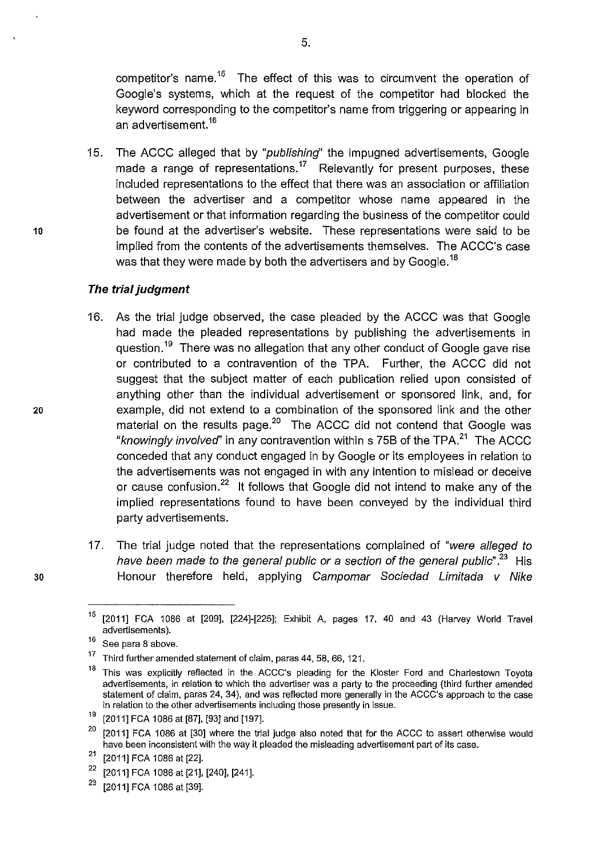competitor's name.<sup>15</sup> The effect of this was to circumvent the operation of Google's systems, which at the request of the competitor had blocked the keyword corresponding to the competitor's name from triggering or appearing in an advertisement.<sup>16</sup>

15. The ACCC alleged that by "publishing" the impugned advertisements, Google made a range of representations.<sup>17</sup> Relevantly for present purposes, these included representations to the effect that there was an association or affiliation between the advertiser and a competitor whose name appeared in the advertisement or that information regarding the business of the competitor could 10 be found at the advertiser's website. These representations were said to be implied from the contents of the advertisements themselves. The ACCC's case was that they were made by both the advertisers and by Google.<sup>18</sup>

### **The trial judgment**

- 16. As the trial judge observed, the case pleaded by the ACCC was that Google had made the pleaded representations by publishing the advertisements in question.<sup>19</sup> There was no allegation that any other conduct of Google gave rise or contributed to a contravention of the TPA. Further, the ACCC did not suggest that the subject matter of each publication relied upon consisted of anything other than the individual advertisement or sponsored link, and, for 20 example, did not extend to a combination of the sponsored link and the other material on the results page.<sup>20</sup> The ACCC did not contend that Google was "knowingly involved" in any contravention within s 75B of the TPA. $^{21}$  The ACCC conceded that any conduct engaged in by Google or its employees in relation to the advertisements was not engaged in with any intention to mislead or deceive or cause confusion.<sup>22</sup> It follows that Google did not intend to make any of the implied representations found to have been conveyed by the individual third party advertisements.
- 17. The trial judge noted that the representations complained of "were alleged to have been made to the general public or a section of the general public".<sup>23</sup> His 30 Honour therefore held, applying Campomar Sociedad Limitada v Nike

<sup>&</sup>lt;sup>15</sup> [2011] FCA 1086 at [209], [224]-[225]; Exhibit A, pages 17, 40 and 43 (Harvey World Travel advertisements).

 $16$  See para 8 above.

 $17$  Third further amended statement of claim, paras 44, 58, 66, 121.

<sup>&</sup>lt;sup>18</sup> This was explicitly reflected in the ACCC's pleading for the Kloster Ford and Charlestown Toyota advertisements, in relation to which the advertiser was a party to the proceeding (third further amended statement of claim, paras 24, 34), and was reflected more generally in the ACCC's approach to the case in relation to the other advertisements including those presently in issue.

 $19$  [2011] FCA 1086 at [87], [93] and [197].

 $20$  [2011] FCA 1086 at [30] where the trial judge also noted that for the ACCC to assert otherwise would have been inconsistent with the way it pleaded the misleading advertisement part of its case.

 $21$  [2011] FCA 1086 at [22].

<sup>22 [2011]</sup> FCA 1086 at [21], [240], [241].

 $23$  [2011] FCA 1086 at [39].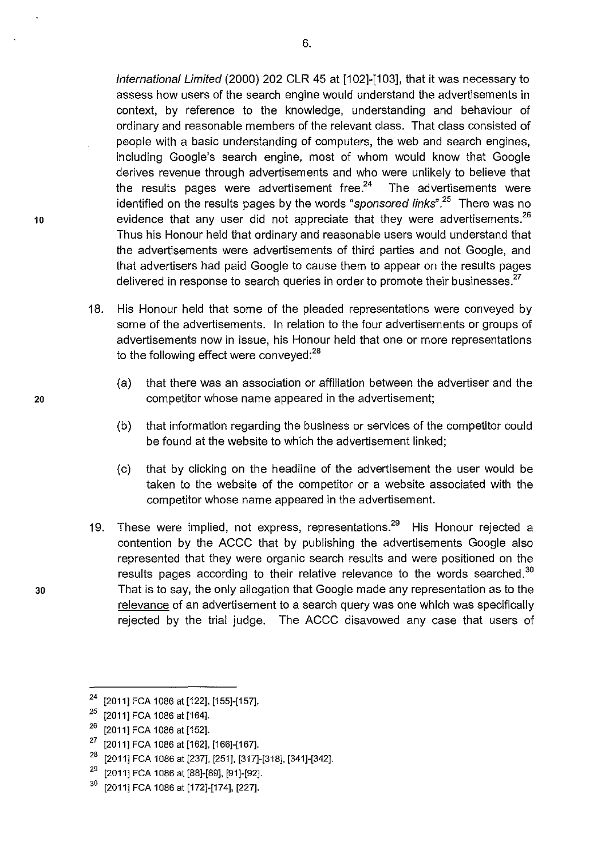International Limited (2000) 202 CLR 45 at [102]-[103], that it was necessary to assess how users of the search engine would understand the advertisements in context, by reference to the knowledge, understanding and behaviour of ordinary and reasonable members of the relevant class. That class consisted of people with a basic understanding of computers, the web and search engines, including Google's search engine, most of whom would know that Google derives revenue through advertisements and who were unlikely to believe that the results pages were advertisement free. $24$  The advertisements were identified on the results pages by the words "*sponsored links*".<sup>25</sup> There was no 10 evidence that any user did not appreciate that they were advertisements. $^{26}$ Thus his Honour held that ordinary and reasonable users would understand that the advertisements were advertisements of third parties and not Google, and that advertisers had paid Google to cause them to appear on the results pages delivered in response to search queries in order to promote their businesses.<sup>27</sup>

- 18. His Honour held that some of the pleaded representations were conveyed by some of the advertisements. In relation to the four advertisements or groups of advertisements now in issue, his Honour held that one or more representations to the following effect were conveyed:<sup>28</sup>
- (a) that there was an association or affiliation between the advertiser and the 20 competitor whose name appeared in the advertisement;
	- (b) that information regarding the business or services of the competitor could be found at the website to which the advertisement linked;
	- (c) that by clicking on the headline of the advertisement the user would be taken to the website of the competitor or a website associated with the competitor whose name appeared in the advertisement.
- 19. These were implied, not express, representations.<sup>29</sup> His Honour rejected a contention by the ACCC that by publishing the advertisements Google also represented that they were organic search results and were positioned on the results pages according to their relative relevance to the words searched.<sup>30</sup> 30 That is to say, the only allegation that Google made any representation as to the relevance of an advertisement to a search query was one which was specifically rejected by the trial judge. The ACCC disavowed any case that users of

<sup>&</sup>lt;sup>24</sup> [2011] FCA 1086 at [122], [155]-[157].

 $25$  [2011] FCA 1086 at [164].

 $26$  [2011] FCA 1086 at [152].

<sup>27 [2011]</sup> FCA 1086 at [162], [166]-[167].

<sup>&</sup>lt;sup>28</sup> [2011] FCA 1086 at [237], [251], [317]-[318], [341]-[342].

<sup>&</sup>lt;sup>29</sup> [2011] FCA 1086 at [88]-[89], [91]-[92].

 $30$  [2011] FCA 1086 at [172]-[174], [227].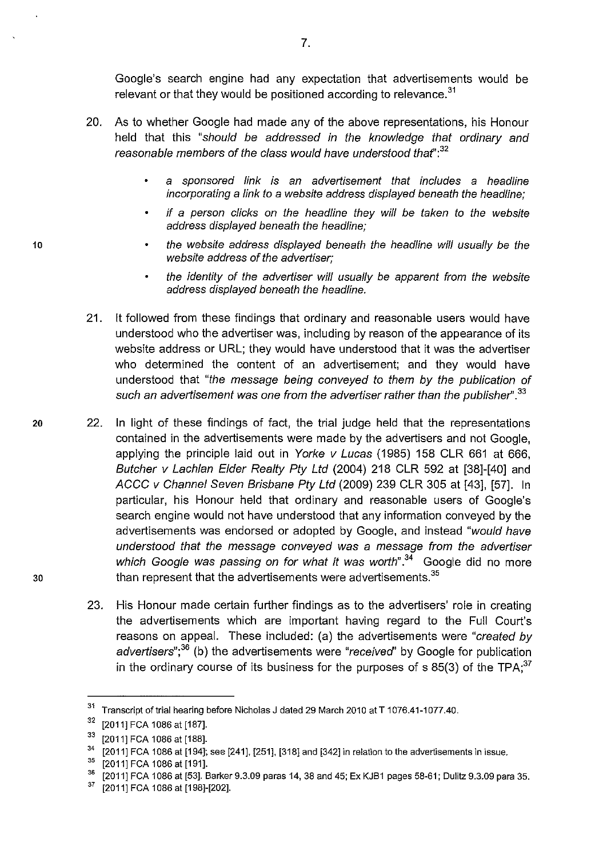Google's search engine had any expectation that advertisements would be relevant or that they would be positioned according to relevance.<sup>31</sup>

- 20. As to whether Google had made any of the above representations, his Honour held that this "should be addressed in the knowledge that ordinary and reasonable members of the class would have understood that  $32$ 
	- a sponsored link is an advertisement that includes a headline incorporating a link to a website address displayed beneath the headline;
	- if a person clicks on the headline they will be taken to the website address displayed beneath the headline;
	- the website address displayed beneath the headline will usually be the website address of the advertiser;
	- the identity of the advertiser will usually be apparent from the website address displayed beneath the headline.
- 21. It followed from these findings that ordinary and reasonable users would have understood who the advertiser was, including by reason of the appearance of its website address or URL; they would have understood that it was the advertiser who determined the content of an advertisement; and they would have understood that "the message being conveyed to them by the publication of such an advertisement was one from the advertiser rather than the publisher".<sup>33</sup>
- 20 22. In light of these findings of fact, the trial judge held that the representations contained in the advertisements were made by the advertisers and not Google, applying the principle laid out in Yorke v Lucas (1985) 158 CLR 661 at 666, Butcher v Lachlan Elder Realty Pty Ltd (2004) 218 CLR 592 at [38]-[40] and ACCC v Channel Seven Brisbane Pty Ltd (2009) 239 CLR 305 at [43], [57]. In particular, his Honour held that ordinary and reasonable users of Google's search engine would not have understood that any information conveyed by the advertisements was endorsed or adopted by Google, and instead "would have understood that the message conveyed was a message from the advertiser which Google was passing on for what it was worth".<sup>34</sup> Google did no more  $30$  than represent that the advertisements were advertisements.<sup>35</sup>
	- 23. His Honour made certain further findings as to the advertisers' role in creating the advertisements which are important having regard to the Full Court's reasons on appeal. These included: (a) the advertisements were "created by advertisers";<sup>36</sup> (b) the advertisements were "received" by Google for publication in the ordinary course of its business for the purposes of s 85(3) of the TPA;<sup>37</sup>

7.

10

<sup>&</sup>lt;sup>31</sup> Transcript of trial hearing before Nicholas J dated 29 March 2010 at T 1076.41-1077.40.

 $32$  [2011] FCA 1086 at [187].

 $\frac{33}{12011}$  FCA 1086 at [188].<br><sup>34</sup> [2011] FCA 1086 at [194]; see [241], [251], [318] and [342] in relation to the advertisements in issue.

 $\frac{35}{36}$  [2011] FCA 1086 at [191].

 $^{36}$  [2011] FCA 1086 at [53]. Barker 9.3.09 paras 14, 38 and 45; Ex KJB1 pages 58-61; Dulitz 9.3.09 para 35.<br><sup>37</sup> R20111 ECA 1086 of [1981-[202]

<sup>[2011]</sup> FCA 1086 at [198]-[202].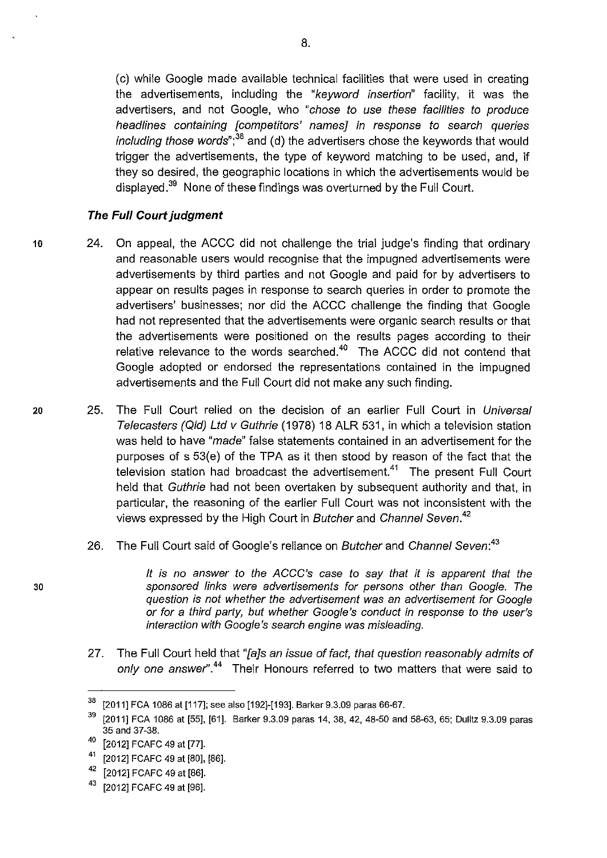(c) while Google made available technical facilities that were used in creating the advertisements, including the "keyword insertion" facility, it was the advertisers, and not Google, who "chose to use these facilities to produce headlines containing [competitors' names] in response to search queries *including those words*";<sup>38</sup> and (d) the advertisers chose the keywords that would trigger the advertisements, the type of keyword matching to be used, and, if they so desired, the geographic locations in which the advertisements would be displayed.<sup>39</sup> None of these findings was overturned by the Full Court.

### **The Full Court judgment**

- 10 24. On appeal, the ACCC did not challenge the trial judge's finding that ordinary and reasonable users would recognise that the impugned advertisements were advertisements by third parties and not Google and paid for by advertisers to appear on results pages in response to search queries in order to promote the advertisers' businesses; nor did the ACCC challenge the finding that Google had not represented that the advertisements were organic search results or that the advertisements were positioned on the results pages according to their relative relevance to the words searched. $40$  The ACCC did not contend that Google adopted or endorsed the representations contained in the impugned advertisements and the Full Court did not make any such finding.
- 20 25. The Full Court relied on the decision of an earlier Full Court in Universal Telecasters (Qid) Ltd v Guthrie (1978) 18 ALR 531, in which a television station was held to have "*made*" false statements contained in an advertisement for the purposes of  $s$  53(e) of the TPA as it then stood by reason of the fact that the television station had broadcast the advertisement.<sup>41</sup> The present Full Court held that Guthrie had not been overtaken by subsequent authority and that, in particular, the reasoning of the earlier Full Court was not inconsistent with the views expressed by the High Court in Butcher and Channel Seven.*<sup>42</sup>*
	- 26. The Full Court said of Google's reliance on Butcher and Channel Seven:<sup>43</sup>

It is no answer to the ACCC's case to say that it is apparent that the sponsored links were advertisements for persons other than Google. The question is not whether the advertisement was an advertisement for Google or for a third party, but whether Google 's conduct in response to the user's interaction with Google's search engine was misleading.

27. The Full Court held that "[a]s an issue of fact, that question reasonably admits of only one answer''.*44* Their Honours referred to two matters that were said to

30

 $\frac{38}{2011}$  FCA 1086 at [117]; see also [192]-[193]. Barker 9.3.09 paras 66-67.<br> $\frac{39}{20141}$  FCA 1096 at [55], [61]. Barker 9.3.09 paras 14, 38, 43, 48, 59 and

<sup>39 [2011]</sup> FCA 1086 at [55], [61]. Barker 9.3.09 paras 14, 38, 42, 48-50 and 58-63, 65; Dulitz 9.3.09 paras 35 and 37-38.

<sup>40 [2012]</sup> FCAFC 49 at [77].

<sup>41 [2012]</sup> FCAFC 49 at [80], [86].

<sup>42 [2012]</sup> FCAFC 49 at [86].

<sup>43 [2012]</sup> FCAFC 49 at [96].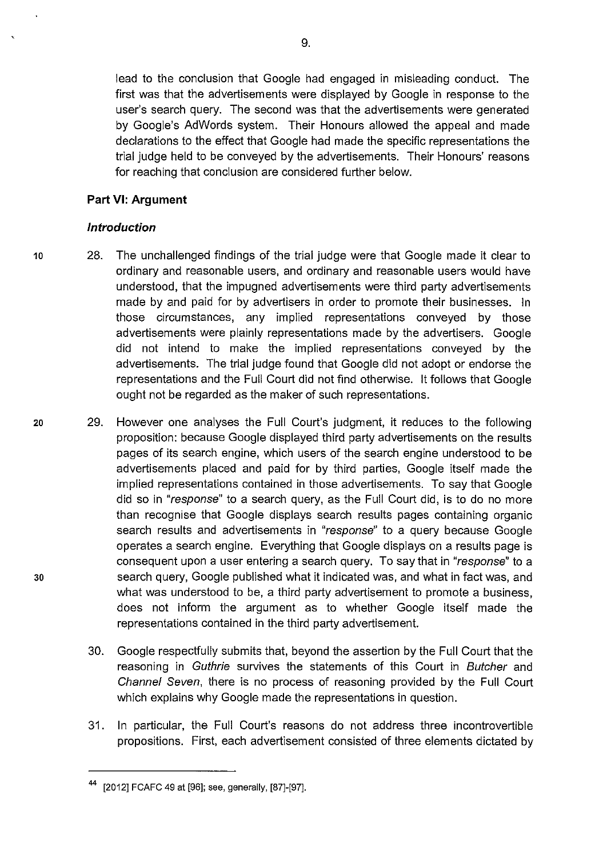lead to the conclusion that Google had engaged in misleading conduct. The first was that the advertisements were displayed by Google in response to the user's search query. The second was that the advertisements were generated by Google's AdWords system. Their Honours allowed the appeal and made declarations to the effect that Google had made the specific representations the trial judge held to be conveyed by the advertisements. Their Honours' reasons for reaching that conclusion are considered further below.

### **Part VI: Argument**

### **Introduction**

- 10 28. The unchallenged findings of the trial judge were that Google made it clear to ordinary and reasonable users, and ordinary and reasonable users would have understood, that the impugned advertisements were third party advertisements made by and paid for by advertisers in order to promote their businesses. In those circumstances, any implied representations conveyed by those advertisements were plainly representations made by the advertisers. Google did not intend to make the implied representations conveyed by the advertisements. The trial judge found that Google did not adopt or endorse the representations and the Full Court did not find otherwise. It follows that Google ought not be regarded as the maker of such representations.
- 20 29. However one analyses the Full Court's judgment, it reduces to the following proposition: because Google displayed third party advertisements on the results pages of its search engine, which users of the search engine understood to be advertisements placed and paid for by third parties, Google itself made the implied representations contained in those advertisements. To say that Google did so in "response" to a search query, as the Full Court did, is to do no more than recognise that Google displays search results pages containing organic search results and advertisements in "response" to a query because Google operates a search engine. Everything that Google displays on a results page is consequent upon a user entering a search query. To say that in "response" to a 30 search query, Google published what it indicated was, and what in fact was, and what was understood to be, a third party advertisement to promote a business, does not inform the argument as to whether Google itself made the representations contained in the third party advertisement.
	- 30. Google respectfully submits that, beyond the assertion by the Full Court that the reasoning in Guthrie survives the statements of this Court in Butcher and Channel Seven, there is no process of reasoning provided by the Full Court which explains why Google made the representations in question.
	- 31. In particular, the Full Court's reasons do not address three incontrovertible propositions. First, each advertisement consisted of three elements dictated by

<sup>44 [2012]</sup> FCAFC 49 at [96]; see, generally, [87]-[97].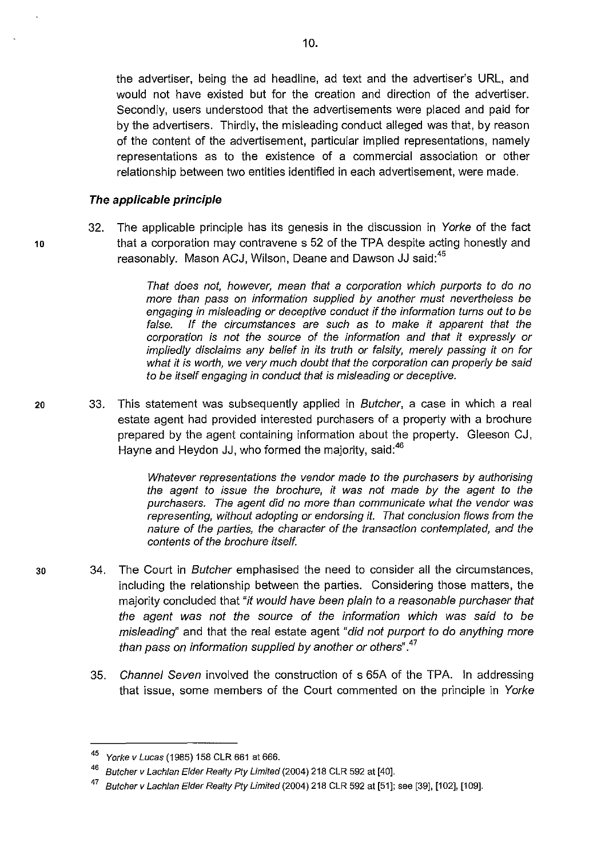the advertiser, being the ad headline, ad text and the advertiser's URL, and would not have existed but for the creation and direction of the advertiser. Secondly, users understood that the advertisements were placed and paid for by the advertisers. Thirdly, the misleading conduct alleged was that, by reason of the content of the advertisement, particular implied representations, namely representations as to the existence of a commercial association or other relationship between two entities identified in each advertisement, were made.

#### **The applicable principle**

32. The applicable principle has its genesis in the discussion in Yorke of the fact 10 that a corporation may contravene s 52 of the TPA despite acting honestly and reasonably. Mason ACJ, Wilson, Deane and Dawson JJ said:<sup>45</sup>

> That does not, however, mean that a corporation which purports to do no more than pass on information supplied by another must nevertheless be engaging in misleading or deceptive conduct if the information turns out to be false. If the circumstances are such as to make it apparent that the corporation is not the source of the information and that it expressly or impliedly disclaims any belief in its truth or falsity, merely passing it on for what it is worth, we very much doubt that the corporation can properly be said to be itself engaging in conduct that is misleading or deceptive.

20 33. This statement was subsequently applied in Butcher, a case in which a real estate agent had provided interested purchasers of a property with a brochure prepared by the agent containing information about the property. Gleeson CJ, Hayne and Heydon JJ, who formed the majority, said:<sup>46</sup>

> Whatever representations the vendor made to the purchasers by authorising the agent to issue the brochure, it was not made by the agent to the purchasers. The agent did no more than communicate what the vendor was representing, without adopting or endorsing it. That conclusion flows from the nature of the parties, the character of the transaction contemplated, and the contents of the brochure itself.

- 30 34. The Court in Butcher emphasised the need to consider all the circumstances, including the relationship between the parties. Considering those matters, the majority concluded that "it would have been plain to a reasonable purchaser that the agent was not the source of the information which was said to be misleading" and that the real estate agent "did not purport to do anything more than pass on information supplied by another or others".<sup>47</sup>
	- 35. Channel Seven involved the construction of s 65A of the TPA. In addressing that issue, some members of the Court commented on the principle in Yorke

<sup>45</sup> Yorke v Lucas (1985) 158 CLR 661 at 666.

<sup>&</sup>lt;sup>46</sup> Butcher v Lachlan Elder Realty Pty Limited (2004) 218 CLR 592 at [40].

 $^{47}$  Butcher v Lachlan Elder Realty Pty Limited (2004) 218 CLR 592 at [51]; see [39], [102], [109].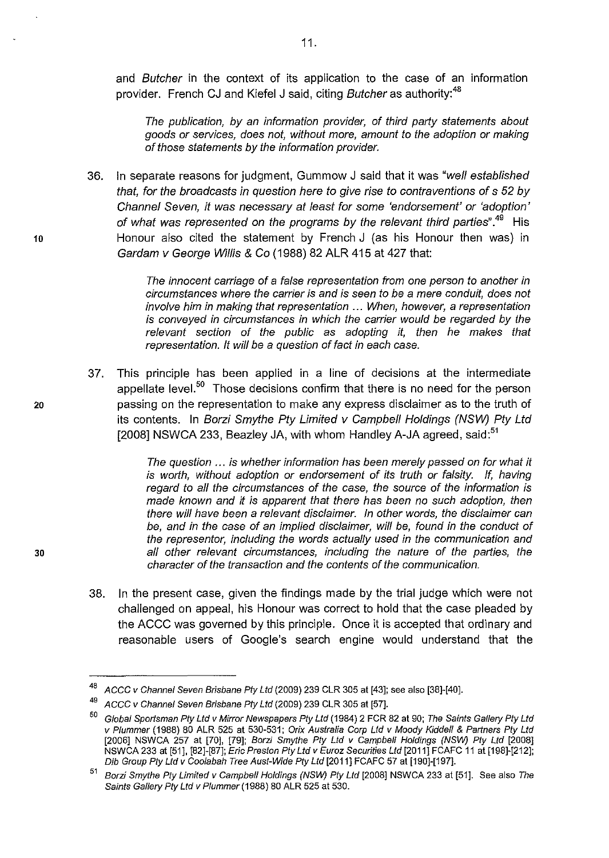and Butcher in the context of its application to the case of an information provider. French CJ and Kiefel J said, citing Butcher as authority:<sup>48</sup>

The publication, by an information provider, of third party statements about goods or services, does not, without more, amount to the adoption or making of those statements by the information provider.

36. In separate reasons for judgment, Gummow J said that it was "well established that, for the broadcasts in question here to give rise to contraventions of s 52 by Channel Seven, it was necessary at least for some 'endorsement' or 'adoption' of what was represented on the programs by the relevant third parties".<sup>49</sup> His 10 Honour also cited the statement by French J (as his Honour then was) in Gardam v George Willis & Co ( 1988) 82 ALR 415 at 427 that:

> The innocent carriage of a false representation from one person to another in circumstances where the carrier is and is seen to be a mere conduit, does not involve him in making that representation ... When, however, a representation is conveyed in circumstances in which the carrier would be regarded by the relevant section of the public as adopting it, then he makes that representation. It will be a question of fact in each case.

37. This principle has been applied in a line of decisions at the intermediate appellate level.<sup>50</sup> Those decisions confirm that there is no need for the person 20 passing on the representation to make any express disclaimer as to the truth of its contents. In Borzi Smythe Pty Limited v Campbell Holdings (NSW) Pty Ltd [2008] NSWCA 233, Beazley JA, with whom Handley A-JA agreed, said:<sup>51</sup>

The question ... is whether information has been merely passed on for what it is worth, without adoption or endorsement of its truth or falsity. If, having regard to all the circumstances of the case, the source of the information is made known and it is apparent that there has been no such adoption, then there will have been a relevant disclaimer. In other words, the disclaimer can be, and in the case of an implied disclaimer, will be, found in the conduct of the representor, including the words actually used in the communication and 30 all other relevant circumstances, including the nature of the parties, the character of the transaction and the contents of the communication.

> 38. In the present case, given the findings made by the trial judge which were not challenged on appeal, his Honour was correct to hold that the case pleaded by the ACCC was governed by this principle. Once it is accepted that ordinary and reasonable users of Google's search engine would understand that the

 $48$  ACCC v Channel Seven Brisbane Pty Ltd (2009) 239 CLR 305 at [43]; see also [38]-[40].

<sup>49</sup> ACCC v Channel Seven Brisbane Pty Ltd (2009) 239 CLR 305 at [57].

<sup>50</sup> Global Sportsman Pty Ltd v Mirror Newspapers Pty Ltd (1984) 2 FCR 82 at 90; The Saints Gallery Pty Ltd v Plummer (1988) 80 ALR 525 at 530-531; Orix Australia Corp Ltd v Moody Kiddell & Partners Pty Ltd [2006] NSWCA 257 at [70], [79]; Borzi Smythe Pty Ltd v Campbell Holdings (NSW) Pty Ltd [2008] NSWCA 233 at [51], [82]-[87]; Eric Preston Ply Ltd v Euroz Securities Ltd [2011] FCAFC 11 at [198]-[212]; Dib Group Ply Ltd v Coolabah Tree Aust-Wide Pty Ltd [2011] FCAFC 57 at [190]-[197].

<sup>51</sup> Borzi Smythe Pty Limited v Campbell Holdings (NSW) Pty Ltd [2008] NSWCA 233 at [51]. See also The Saints Gallery Pty Ltd v Plummer (1988) 80 ALR 525 at 530.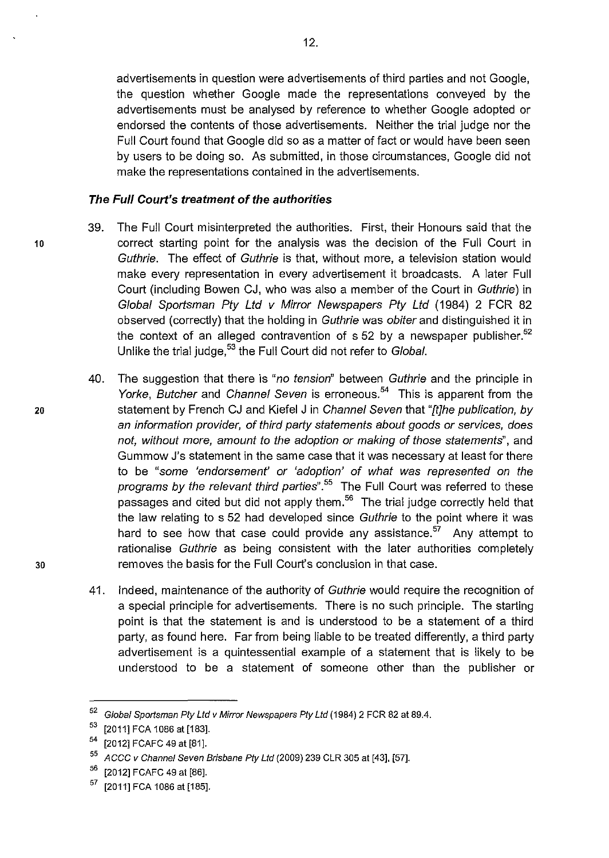advertisements in question were advertisements of third parties and not Google, the question whether Google made the representations conveyed by the advertisements must be analysed by reference to whether Google adopted or endorsed the contents of those advertisements. Neither the trial judge nor the Full Court found that Google did so as a matter of fact or would have been seen by users to be doing so. As submitted, in those circumstances, Google did not make the representations contained in the advertisements.

#### **The Full Court's treatment of the authorities**

- 39. The Full Court misinterpreted the authorities. First, their Honours said that the 10 correct starting point for the analysis was the decision of the Full Court in Guthrie. The effect of Guthrie is that, without more, a television station would make every representation in every advertisement it broadcasts. A later Full Court (including Bowen CJ, who was also a member of the Court in Guthrie) in Global Sportsman Pty Ltd v Mirror Newspapers Pty Ltd (1984) 2 FCR 82 observed (correctly) that the holding in Guthrie was obiter and distinguished it in the context of an alleged contravention of  $\frac{52}{10}$  by a newspaper publisher.<sup>52</sup> Unlike the trial judge,<sup>53</sup> the Full Court did not refer to Global.
- 40. The suggestion that there is "no tension" between Guthrie and the principle in Yorke, Butcher and Channel Seven is erroneous.<sup>54</sup> This is apparent from the 20 statement by French CJ and Kiefel J in Channel Seven that "[t]he publication, by an information provider, of third party statements about goods or services, does not, without more, amount to the adoption or making of those statements", and Gummow J's statement in the same case that it was necessary at least for there to be "some 'endorsement' or 'adoption' of what was represented on the programs by the relevant third parties".<sup>55</sup> The Full Court was referred to these  $p$ assages and cited but did not apply them. $56$  The trial judge correctly held that the law relating to s 52 had developed since Guthrie to the point where it was hard to see how that case could provide any assistance.<sup>57</sup> Any attempt to rationalise Guthrie as being consistent with the later authorities completely 30 removes the basis for the Full Court's conclusion in that case.
	- 41. Indeed, maintenance of the authority of Guthrie would require the recognition of a special principle for advertisements. There is no such principle. The starting point is that the statement is and is understood to be a statement of a third party, as found here. Far from being liable to be treated differently, a third party advertisement is a quintessential example of a statement that is likely to be understood to be a statement of someone other than the publisher or

 $52$  Global Sportsman Pty Ltd v Mirror Newspapers Pty Ltd (1984) 2 FCR 82 at 89.4.

 $53$  [2011] FCA 1086 at [183].

<sup>54 [2012]</sup> FCAFC 49 at [81].

 $55$  ACCC v Channel Seven Brisbane Pty Ltd (2009) 239 CLR 305 at [43], [57].

<sup>&</sup>lt;sup>56</sup> [2012] FCAFC 49 at [86].

 $57$  [2011] FCA 1086 at [185].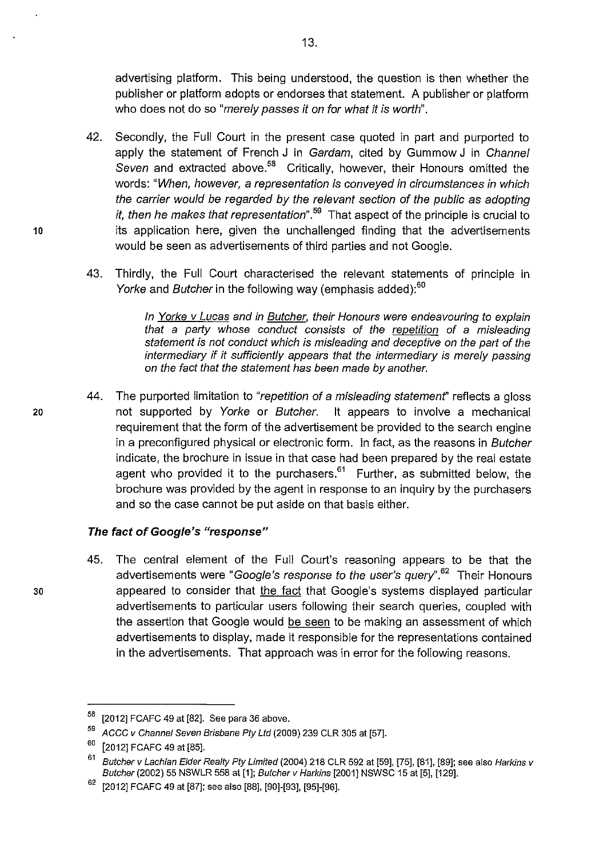advertising platform. This being understood, the question is then whether the publisher or platform adopts or endorses that statement. A publisher or platform who does not do so "merely passes it on for what it is worth".

- 42. Secondly, the Full Court in the present case quoted in part and purported to apply the statement of French J in Gardam, cited by Gummow J in Channel Seven and extracted above.<sup>58</sup> Critically, however, their Honours omitted the words: "When, however, a representation is conveyed in circumstances in which the carrier would be regarded by the relevant section of the public as adopting it, then he makes that representation<sup>", 59</sup> That aspect of the principle is crucial to 10 its application here, given the unchallenged finding that the advertisements would be seen as advertisements of third parties and not Google.
	- 43. Thirdly, the Full Court characterised the relevant statements of principle in Yorke and Butcher in the following way (emphasis added):<sup>60</sup>

In Yorke v Lucas and in Butcher, their Honours were endeavouring to explain that a party whose conduct consists of the repetition of a misleading statement is not conduct which is misleading and deceptive on the part of the intermediary if it sufficiently appears that the intermediary is merely passing on the fact that the statement has been made by another.

44. The purported limitation to "repetition of a misleading statement" reflects a gloss 20 not supported by Yorke or Butcher. It appears to involve a mechanical requirement that the form of the advertisement be provided to the search engine in a preconfigured physical or electronic form. In fact, as the reasons in Butcher indicate, the brochure in issue in that case had been prepared by the real estate agent who provided it to the purchasers.<sup>61</sup> Further, as submitted below, the brochure was provided by the agent in response to an inquiry by the purchasers and so the case cannot be put aside on that basis either.

### **The fact of Google's "response"**

45. The central element of the Full Court's reasoning appears to be that the advertisements were "Google's response to the user's query".<sup>62</sup> Their Honours 30 appeared to consider that the fact that Google's systems displayed particular advertisements to particular users following their search queries, coupled with the assertion that Google would be seen to be making an assessment of which advertisements to display, made it responsible for the representations contained in the advertisements. That approach was in error for the following reasons.

 $58$  [2012] FCAFC 49 at [82]. See para 36 above.

 $59$  ACCC v Channel Seven Brisbane Pty Ltd (2009) 239 CLR 305 at [57].

 $60$  [2012] FCAFC 49 at [85].

<sup>61</sup> Butcher v Lachlan Elder Realty Pty Limited (2004) 218 CLR 592 at [59], [75], [81], [89]; see also Harkins v Butcher (2002) 55 NSWLR 558 at [1]; Butcher v Harkins [2001] NSWSC 15 at [5], [129].

<sup>[2012]</sup> FCAFC 49 at [87]; see also [88], [90]-[93], [95]-[96].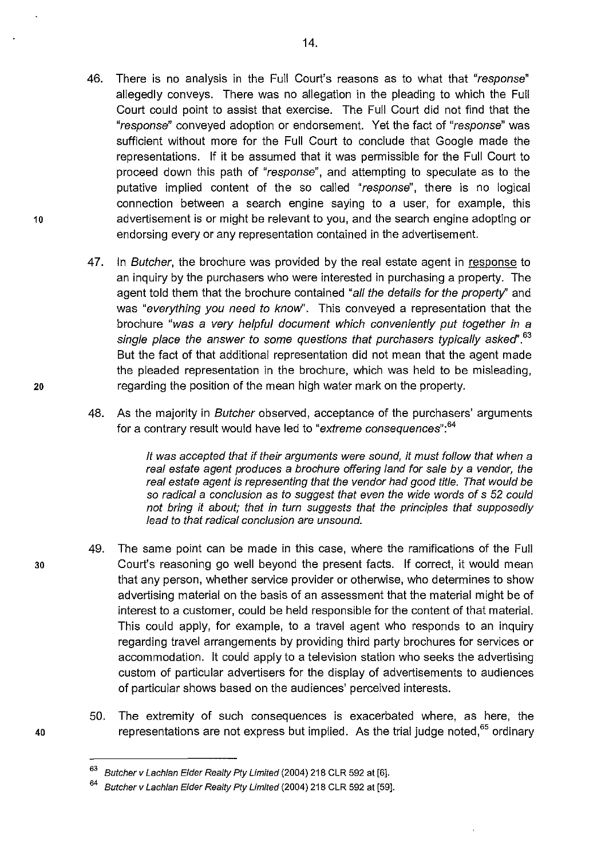- 46. There is no analysis in the Full Court's reasons as to what that "response" allegedly conveys. There was no allegation in the pleading to which the Full Court could point to assist that exercise. The Full Court did not find that the "response" conveyed adoption or endorsement. Yet the fact of "response" was sufficient without more for the Full Court to conclude that Google made the representations. If it be assumed that it was permissible for the Full Court to proceed down this path of "response", and attempting to speculate as to the putative implied content of the so called "response", there is no logical connection between a search engine saying to a user, for example, this 10 advertisement is or might be relevant to you, and the search engine adopting or endorsing every or any representation contained in the advertisement.
- 47. In Butcher, the brochure was provided by the real estate agent in response to an inquiry by the purchasers who were interested in purchasing a property. The agent told them that the brochure contained "all the details for the property" and was "everything you need to know". This conveyed a representation that the brochure "was a very helpful document which conveniently put together in a single place the answer to some questions that purchasers typically asked".<sup>63</sup> But the fact of that additional representation did not mean that the agent made the pleaded representation in the brochure, which was held to be misleading, 20 regarding the position of the mean high water mark on the property.
	- 48. As the majority in Butcher observed, acceptance of the purchasers' arguments for a contrary result would have led to "extreme consequences":  $64$

It was accepted that if their arguments were sound, it must follow that when a real estate agent produces a brochure offering land for sale by a vendor, the real estate agent is representing that the vendor had good title. That would be so radical a conclusion as to suggest that even the wide words of s 52 could not bring it about; that in turn suggests that the principles that supposedly lead to that radical conclusion are unsound.

- 49. The same point can be made in this case, where the ramifications of the Full 30 Court's reasoning go well beyond the present facts. If correct, it would mean that any person, whether service provider or otherwise, who determines to show advertising material on the basis of an assessment that the material might be of interest to a customer, could be held responsible for the content of that material. This could apply, for example, to a travel agent who responds to an inquiry regarding travel arrangements by providing third party brochures for services or accommodation. It could apply to a television station who seeks the advertising custom of particular advertisers for the display of advertisements to audiences of particular shows based on the audiences' perceived interests.
- 50. The extremity of such consequences is exacerbated where, as here, the 40 **arepresentations are not express but implied.** As the trial judge noted,<sup>65</sup> ordinary

<sup>63</sup> Butcher v Lachlan Elder Realty Pty Limited (2004) 218 CLR 592 at [6].

Butcher v Lachlan Elder Realty Pty Limited (2004) 218 CLR 592 at [59].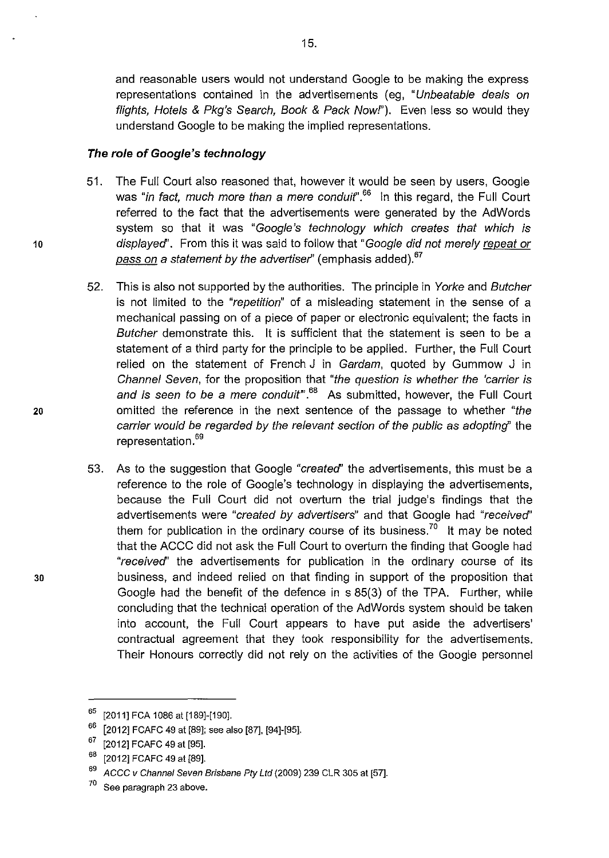and reasonable users would not understand Google to be making the express representations contained in the advertisements (eg, "Unbeatable deals on flights, Hotels & Pkg's Search, Book & Pack Now!"). Even less so would they understand Google to be making the implied representations.

### **The role of Google's technology**

- 51. The Full Court also reasoned that, however it would be seen by users, Google was "in fact, much more than a mere conduit".<sup>66</sup> In this regard, the Full Court referred to the fact that the advertisements were generated by the AdWords system so that it was "Google's technology which creates that which is 10 displayed'. From this it was said to follow that "Google did not merely repeat or pass on a statement by the advertiser" (emphasis added).<sup>67</sup>
- 52. This is also not supported by the authorities. The principle in Yorke and Butcher is not limited to the "repetition" of a misleading statement in the sense of a mechanical passing on of a piece of paper or electronic equivalent; the facts in Butcher demonstrate this. It is sufficient that the statement is seen to be a statement of a third party for the principle to be applied. Further, the Full Court relied on the statement of French J in Gardam, quoted by Gummow J in Channel Seven, for the proposition that "the question is whether the 'carrier is and is seen to be a mere conduit<sup>".68</sup> As submitted, however, the Full Court 20 omitted the reference in the next sentence of the passage to whether "the carrier would be regarded by the relevant section of the public as adopting" the representation.<sup>69</sup>
- 53. As to the suggestion that Google "created' the advertisements, this must be a reference to the role of Google's technology in displaying the advertisements, because the Full Court did not overturn the trial judge's findings that the advertisements were "created by advertisers" and that Google had "received" them for publication in the ordinary course of its business.<sup>70</sup> It may be noted that the ACCC did not ask the Full Court to overturn the finding that Google had "received' the advertisements for publication in the ordinary course of its 30 business, and indeed relied on that finding in support of the proposition that Google had the benefit of the defence in s 85(3) of the TPA. Further, while concluding that the technical operation of the AdWords system should be taken into account, the Full Court appears to have put aside the advertisers' contractual agreement that they took responsibility for the advertisements. Their Honours correctly did not rely on the activities of the Google personnel

<sup>&</sup>lt;sup>65</sup> [2011] FCA 1086 at [189]-[190].

 $66$  [2012] FCAFC 49 at [89]; see also [87], [94]-[95].

 $67$  [2012] FCAFC 49 at [95].

<sup>&</sup>lt;sup>68</sup> [2012] FCAFC 49 at [89].

 $69$  ACCC v Channel Seven Brisbane Pty Ltd (2009) 239 CLR 305 at [57].

 $70$  See paragraph 23 above.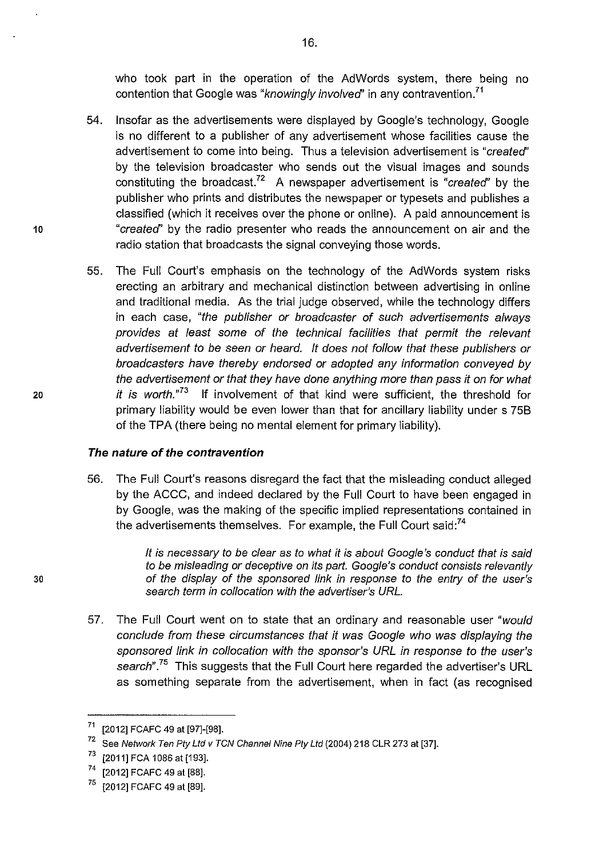who took part in the operation of the AdWords system, there being no contention that Google was "*knowingly involved*" in any contravention.<sup>71</sup>

- 54. Insofar as the advertisements were displayed by Google's technology, Google is no different to a publisher of any advertisement whose facilities cause the advertisement to come into being. Thus a television advertisement is "created" by the television broadcaster who sends out the visual images and sounds constituting the broadcast.<sup>72</sup> A newspaper advertisement is "*created*" by the publisher who prints and distributes the newspaper or typesets and publishes a classified (which it receives over the phone or online). A paid announcement is 10 "created' by the radio presenter who reads the announcement on air and the radio station that broadcasts the signal conveying those words.
- 55. The Full Court's emphasis on the technology of the AdWords system risks erecting an arbitrary and mechanical distinction between advertising in online and traditional media. As the trial judge observed, while the technology differs in each case, "the publisher or broadcaster of such advertisements always provides at least some of the technical facilities that permit the relevant advertisement to be seen or heard. It does not follow that these publishers or broadcasters have thereby endorsed or adopted any information conveyed by the advertisement or that they have done anything more than pass it on for what 20 it is worth."<sup>73</sup> If involvement of that kind were sufficient, the threshold for primary liability would be even lower than that for ancillary liability under s 75B of the TPA (there being no mental element for primary liability).

#### **The nature of the contravention**

56. The Full Court's reasons disregard the fact that the misleading conduct alleged by the ACCC, and indeed declared by the Full Court to have been engaged in by Google, was the making of the specific implied representations contained in the advertisements themselves. For example, the Full Court said:<sup>74</sup>

It is necessary to be clear as to what it is about Google's conduct that is said to be misleading or deceptive on its part. Google's conduct consists relevantly 30 of the display of the sponsored link in response to the entry of the user's search term in collocation with the advertiser's URL.

> 57. The Full Court went on to state that an ordinary and reasonable user "would conclude from these circumstances that it was Google who was displaying the sponsored link in collocation with the sponsor's URL in response to the user's search".<sup>75</sup> This suggests that the Full Court here regarded the advertiser's URL as something separate from the advertisement, when in fact (as recognised

 $71$  [2012] FCAFC 49 at [97]-[98].

 $72$  See Network Ten Pty Ltd v TCN Channel Nine Pty Ltd (2004) 218 CLR 273 at [37].

 $^{73}$  [2011] FCA 1086 at [193].

<sup>[2012]</sup> FCAFC 49 at [88].

<sup>75 [2012]</sup> FCAFC 49 at [89].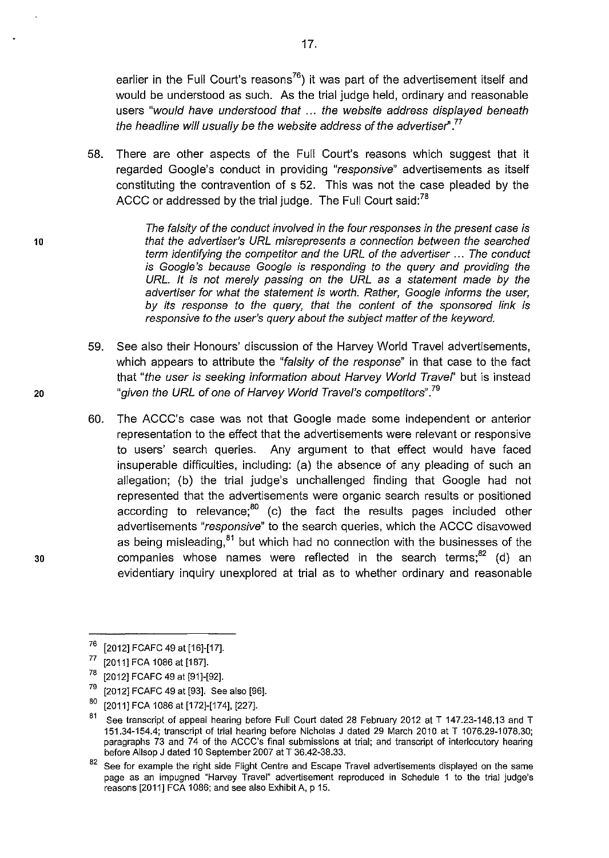earlier in the Full Court's reasons<sup>76</sup>) it was part of the advertisement itself and would be understood as such. As the trial judge held, ordinary and reasonable users "would have understood that ... the website address displayed beneath the headline will usually be the website address of the advertiser".<sup>77</sup>

58. There are other aspects of the Full Court's reasons which suggest that it regarded Google's conduct in providing "responsive" advertisements as itself constituting the contravention of s 52. This was not the case pleaded by the ACCC or addressed by the trial judge. The Full Court said:<sup>78</sup>

The falsity of the conduct involved in the four responses in the present case is 10 that the advertiser's URL misrepresents a connection between the searched term identifying the competitor and the URL of the advertiser ... The conduct is Google's because Google is responding to the query and providing the URL. It is not merely passing on the URL as a statement made by the advertiser for what the statement is worth. Rather, Google informs the user, by its response to the query, that the content of the sponsored link is responsive to the user's query about the subject matter of the keyword.

- 59. See also their Honours' discussion of the Harvey World Travel advertisements, which appears to attribute the "falsity of the response" in that case to the fact that "the user is seeking information about Harvey World Travel" but is instead 20 given the URL of one of Harvey World Travel's competitors".<sup>79</sup>
- 60. The ACCC's case was not that Google made some independent or anterior representation to the effect that the advertisements were relevant or responsive to users' search queries. Any argument to that effect would have faced insuperable difficulties, including: (a) the absence of any pleading of such an allegation; {b) the trial judge's unchallenged finding that Google had not represented that the advertisements were organic search results or positioned according to relevance; $^{80}$  (c) the fact the results pages included other advertisements "responsive" to the search queries, which the ACCC disavowed as being misleading, $81$  but which had no connection with the businesses of the 30 companies whose names were reflected in the search terms; $^{82}$  (d) an evidentiary inquiry unexplored at trial as to whether ordinary and reasonable



 $76$  [2012] FCAFC 49 at [16]-[17].

<sup>77 [2011]</sup> FCA 1086 at [187].

<sup>&</sup>lt;sup>78</sup> [2012] FCAFC 49 at [91]-[92].

 $79$  [2012] FCAFC 49 at [93]. See also [96].

<sup>80 [2011]</sup> FCA 1086 at [172]-[174], [227].

 $81$  See transcript of appeal hearing before Full Court dated 28 February 2012 at T 147.23-148.13 and T 151.34-154.4; transcript of trial hearing before Nicholas J dated 29 March 2010 at T 1076.29-1078.30; paragraphs 73 and 74 of the ACCC's final submissions at trial; and transcript of interlocutory hearing before Allsop J dated 10 September 2007 at T 36.42-38.33.

<sup>&</sup>lt;sup>82</sup> See for example the right side Flight Centre and Escape Travel advertisements displayed on the same page as an impugned "Harvey Travel" advertisement reproduced in Schedule 1 to the trial judge's reasons [2011] FCA 1086; and see also Exhibit A, p 15.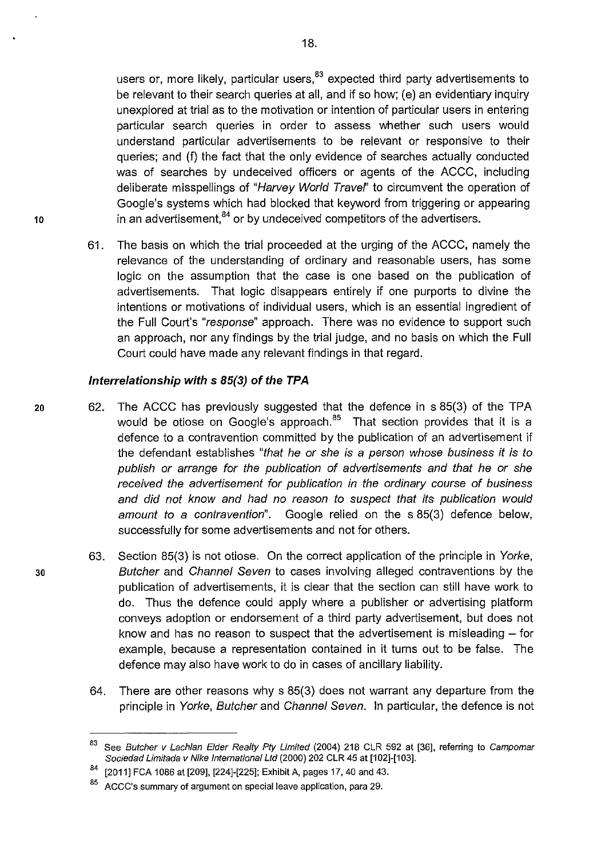users or, more likely, particular users, $83$  expected third party advertisements to be relevant to their search queries at all, and if so how; (e) an evidentiary inquiry unexplored at trial as to the motivation or intention of particular users in entering particular search queries in order to assess whether such users would understand particular advertisements to be relevant or responsive to their queries; and (f) the fact that the only evidence of searches actually conducted was of searches by undeceived officers or agents of the ACCC, including deliberate misspellings of "Harvey World Travel" to circumvent the operation of Google's systems which had blocked that keyword from triggering or appearing 10 in an advertisement, $84$  or by undeceived competitors of the advertisers.

> 61. The basis on which the trial proceeded at the urging of the ACCC, namely the relevance of the understanding of ordinary and reasonable users, has some logic on the assumption that the case is one based on the publication of advertisements. That logic disappears entirely if one purports to divine the intentions or motivations of individual users, which is an essential ingredient of the Full Court's "response" approach. There was no evidence to support such an approach, nor any findings by the trial judge, and no basis on which the Full Court could have made any relevant findings in that regard.

#### **Interrelationship with s 85(3) of the TPA**

- 20 62. The ACCC has previously suggested that the defence in s 85(3) of the TPA would be otiose on Google's approach.<sup>85</sup> That section provides that it is a defence to a contravention committed by the publication of an advertisement if the defendant establishes "that he or she is a person whose business it is to publish or arrange for the publication of advertisements and that he or she received the advertisement for publication in the ordinary course of business and did not know and had no reason to suspect that its publication would amount to a contravention". Google relied on the s 85(3) defence below, successfully for some advertisements and not for others.
- 63. Section 85(3) is not otiose. On the correct application of the principle in Yorke, 30 Butcher and Channel Seven to cases involving alleged contraventions by the publication of advertisements, it is clear that the section can still have work to do. Thus the defence could apply where a publisher or advertising platform conveys adoption or endorsement of a third party advertisement, but does not know and has no reason to suspect that the advertisement is misleading  $-$  for example, because a representation contained in it turns out to be false. The defence may also have work to do in cases of ancillary liability.
	- 64. There are other reasons why s 85(3) does not warrant any departure from the principle in Yorke, Butcher and Channel Seven. In particular, the defence is not

<sup>83</sup> See Butcher v Lachlan Elder Realty Pty Limited (2004) 218 CLR 592 at [36], referring to Campomar Sociedad Limitada v Nike International Ltd (2000) 202 CLR 45 at [102]-[103].

<sup>[2011]</sup> FCA 1086 at [209], [224]-[225]; Exhibit A, pages 17, 40 and 43.

<sup>85</sup> ACCC's summary of argument on special leave application, para 29.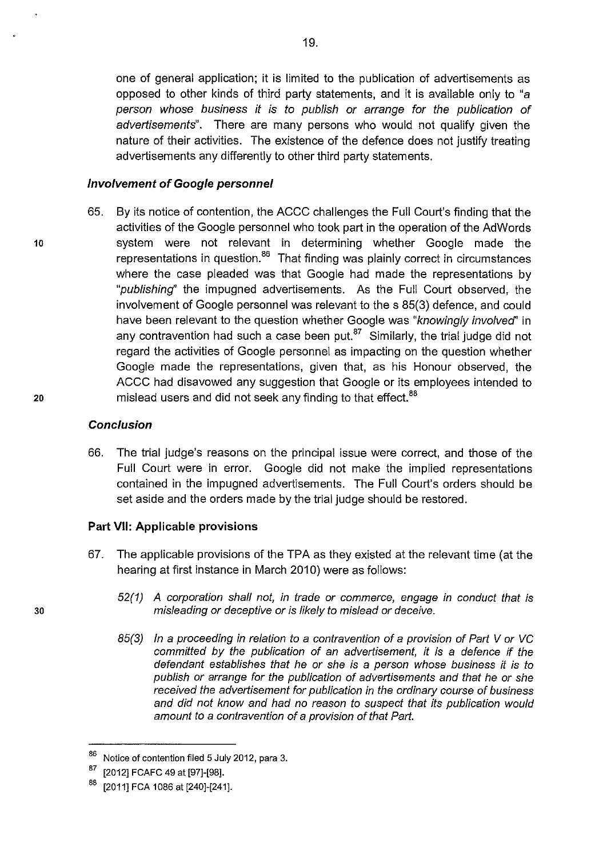one of general application; it is limited to the publication of advertisements as opposed to other kinds of third party statements, and it is available only to "a person whose business it is to publish or arrange for the publication of advertisements". There are many persons who would not qualify given the nature of their activities. The existence of the defence does not justify treating advertisements any differently to other third party statements.

#### **Involvement of Google personnel**

65. By its notice of contention, the ACCC challenges the Full Court's finding that the activities of the Google personnel who took part in the operation of the AdWords 10 system were not relevant in determining whether Google made the representations in question.<sup>86</sup> That finding was plainly correct in circumstances where the case pleaded was that Google had made the representations by "publishing'' the impugned advertisements. As the Full Court observed, the involvement of Google personnel was relevant to the s 85(3) defence, and could have been relevant to the question whether Google was "knowingly involved" in any contravention had such a case been put. $87$  Similarly, the trial judge did not regard the activities of Google personnel as impacting on the question whether Google made the representations, given that, as his Honour observed, the ACCC had disavowed any suggestion that Google or its employees intended to 20 mislead users and did not seek any finding to that effect.<sup>88</sup>

### **Conclusion**

66. The trial judge's reasons on the principal issue were correct, and those of the Full Court were in error. Google did not make the implied representations contained in the impugned advertisements. The Full Court's orders should be set aside and the orders made by the trial judge should be restored.

#### **Part VII: Applicable provisions**

- 67. The applicable provisions of the TPA as they existed at the relevant time (at the hearing at first instance in March 2010) were as follows:
	- 52(1) A corporation shall not, in trade or commerce, engage in conduct that is misleading or deceptive or is likely to mislead or deceive.
	- 85(3) In a proceeding in relation to a contravention of a provision of Part V or VC committed by the publication of an advertisement, it is a defence if the defendant establishes that he or she is a person whose business it is to publish or arrange for the publication of advertisements and that he or she received the advertisement for publication in the ordinary course of business and did not know and had no reason to suspect that its publication would amount to a contravention of a provision of that Part.

 $86$  Notice of contention filed 5 July 2012, para 3.

<sup>[2012]</sup> FCAFC 49 at [97]-[98].

<sup>[2011]</sup> FCA 1086 at [240]-[241].